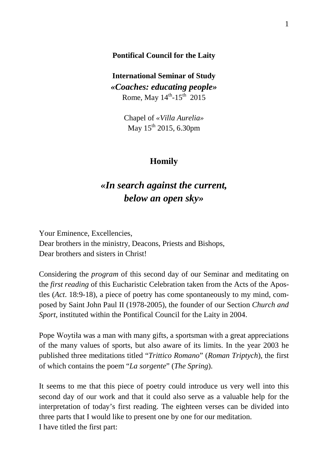### **Pontifical Council for the Laity**

**International Seminar of Study** *«Coaches: educating people»* Rome, May  $14^{th}$ -15<sup>th</sup> 2015

> Chapel of *«Villa Aurelia»* May  $15^{th}$  2015, 6.30pm

## **Homily**

# *«In search against the current, below an open sky»*

Your Eminence, Excellencies, Dear brothers in the ministry, Deacons, Priests and Bishops, Dear brothers and sisters in Christ!

Considering the *program* of this second day of our Seminar and meditating on the *first reading* of this Eucharistic Celebration taken from the Acts of the Apostles (*Act*. 18:9-18), a piece of poetry has come spontaneously to my mind, composed by Saint John Paul II (1978-2005), the founder of our Section *Church and Sport*, instituted within the Pontifical Council for the Laity in 2004.

Pope Woytiła was a man with many gifts, a sportsman with a great appreciations of the many values of sports, but also aware of its limits. In the year 2003 he published three meditations titled "*Trittico Romano*" (*Roman Triptych*), the first of which contains the poem "*La sorgente*" (*The Spring*).

It seems to me that this piece of poetry could introduce us very well into this second day of our work and that it could also serve as a valuable help for the interpretation of today's first reading. The eighteen verses can be divided into three parts that I would like to present one by one for our meditation. I have titled the first part: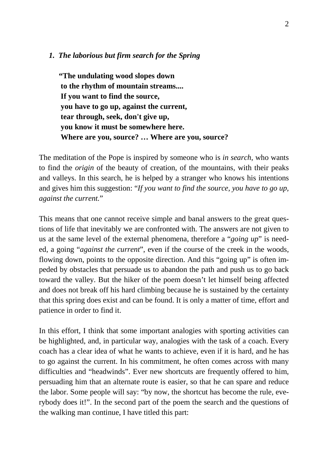#### *1. The laborious but firm search for the Spring*

**"The undulating wood slopes down to the rhythm of mountain streams.... If you want to find the source, you have to go up, against the current, tear through, seek, don't give up, you know it must be somewhere here. Where are you, source? … Where are you, source?**

The meditation of the Pope is inspired by someone who is *in search*, who wants to find the *origin* of the beauty of creation, of the mountains, with their peaks and valleys. In this search, he is helped by a stranger who knows his intentions and gives him this suggestion: "*If you want to find the source, you have to go up, against the current.*"

This means that one cannot receive simple and banal answers to the great questions of life that inevitably we are confronted with. The answers are not given to us at the same level of the external phenomena, therefore a "*going up*" is needed, a going "*against the current*", even if the course of the creek in the woods, flowing down, points to the opposite direction. And this "going up" is often impeded by obstacles that persuade us to abandon the path and push us to go back toward the valley. But the hiker of the poem doesn't let himself being affected and does not break off his hard climbing because he is sustained by the certainty that this spring does exist and can be found. It is only a matter of time, effort and patience in order to find it.

In this effort, I think that some important analogies with sporting activities can be highlighted, and, in particular way, analogies with the task of a coach. Every coach has a clear idea of what he wants to achieve, even if it is hard, and he has to go against the current. In his commitment, he often comes across with many difficulties and "headwinds". Ever new shortcuts are frequently offered to him, persuading him that an alternate route is easier, so that he can spare and reduce the labor. Some people will say: "by now, the shortcut has become the rule, everybody does it!". In the second part of the poem the search and the questions of the walking man continue, I have titled this part: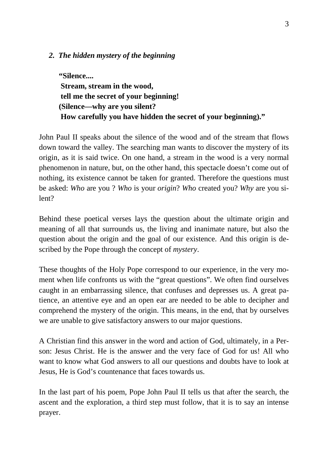## *2. The hidden mystery of the beginning*

**"Silence.... Stream, stream in the wood, tell me the secret of your beginning! (Silence—why are you silent? How carefully you have hidden the secret of your beginning)."**

John Paul II speaks about the silence of the wood and of the stream that flows down toward the valley. The searching man wants to discover the mystery of its origin, as it is said twice. On one hand, a stream in the wood is a very normal phenomenon in nature, but, on the other hand, this spectacle doesn't come out of nothing, its existence cannot be taken for granted. Therefore the questions must be asked: *Who* are you ? *Who* is your *origin*? *Who* created you? *Why* are you silent?

Behind these poetical verses lays the question about the ultimate origin and meaning of all that surrounds us, the living and inanimate nature, but also the question about the origin and the goal of our existence. And this origin is described by the Pope through the concept of *mystery*.

These thoughts of the Holy Pope correspond to our experience, in the very moment when life confronts us with the "great questions". We often find ourselves caught in an embarrassing silence, that confuses and depresses us. A great patience, an attentive eye and an open ear are needed to be able to decipher and comprehend the mystery of the origin. This means, in the end, that by ourselves we are unable to give satisfactory answers to our major questions.

A Christian find this answer in the word and action of God, ultimately, in a Person: Jesus Christ. He is the answer and the very face of God for us! All who want to know what God answers to all our questions and doubts have to look at Jesus, He is God's countenance that faces towards us.

In the last part of his poem, Pope John Paul II tells us that after the search, the ascent and the exploration, a third step must follow, that it is to say an intense prayer.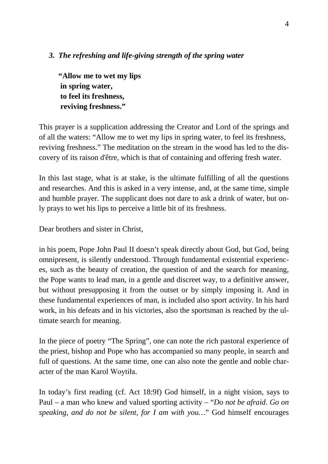## *3. The refreshing and life-giving strength of the spring water*

**"Allow me to wet my lips in spring water, to feel its freshness, reviving freshness."**

This prayer is a supplication addressing the Creator and Lord of the springs and of all the waters: "Allow me to wet my lips in spring water, to feel its freshness, reviving freshness." The meditation on the stream in the wood has led to the discovery of its raison d'être, which is that of containing and offering fresh water.

In this last stage, what is at stake, is the ultimate fulfilling of all the questions and researches. And this is asked in a very intense, and, at the same time, simple and humble prayer. The supplicant does not dare to ask a drink of water, but only prays to wet his lips to perceive a little bit of its freshness.

Dear brothers and sister in Christ,

in his poem, Pope John Paul II doesn't speak directly about God, but God, being omnipresent, is silently understood. Through fundamental existential experiences, such as the beauty of creation, the question of and the search for meaning, the Pope wants to lead man, in a gentle and discreet way, to a definitive answer, but without presupposing it from the outset or by simply imposing it. And in these fundamental experiences of man, is included also sport activity. In his hard work, in his defeats and in his victories, also the sportsman is reached by the ultimate search for meaning.

In the piece of poetry "The Spring", one can note the rich pastoral experience of the priest, bishop and Pope who has accompanied so many people, in search and full of questions. At the same time, one can also note the gentle and noble character of the man Karol Woytiła.

In today's first reading (cf. Act 18:9f) God himself, in a night vision, says to Paul – a man who knew and valued sporting activity – "*Do not be afraid. Go on speaking, and do not be silent, for I am with you…*" God himself encourages